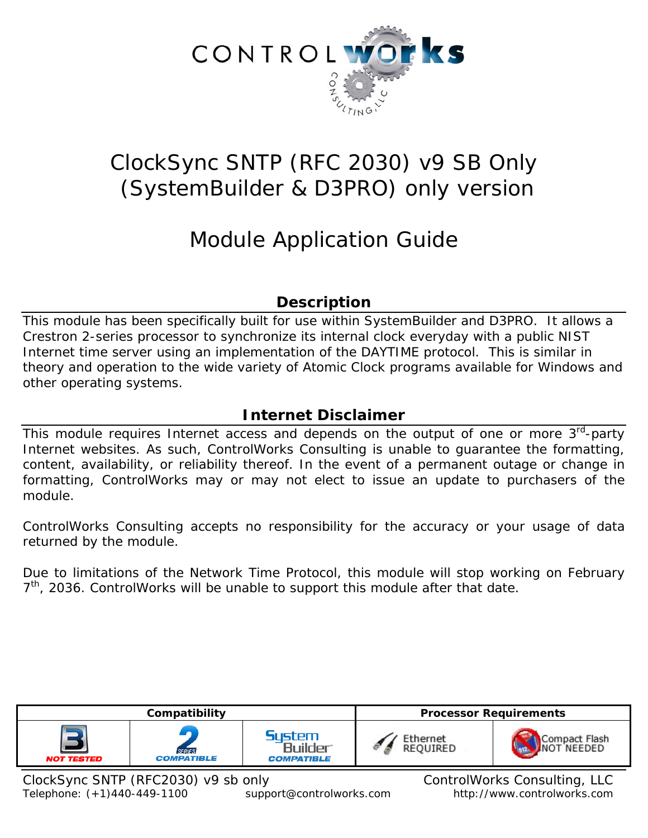

# ClockSync SNTP (RFC 2030) v9 SB Only (SystemBuilder & D3PRO) only version

# Module Application Guide

## **Description**

This module has been specifically built for use within SystemBuilder and D3PRO. It allows a Crestron 2-series processor to synchronize its internal clock everyday with a public NIST Internet time server using an implementation of the DAYTIME protocol. This is similar in theory and operation to the wide variety of Atomic Clock programs available for Windows and other operating systems.

# **Internet Disclaimer**

This module requires Internet access and depends on the output of one or more  $3<sup>rd</sup>$ -party Internet websites. As such, ControlWorks Consulting is unable to guarantee the formatting, content, availability, or reliability thereof. In the event of a permanent outage or change in formatting, ControlWorks may or may not elect to issue an update to purchasers of the module.

ControlWorks Consulting accepts no responsibility for the accuracy or your usage of data returned by the module.

Due to limitations of the Network Time Protocol, this module will stop working on February  $7<sup>th</sup>$ , 2036. ControlWorks will be unable to support this module after that date.

| Compatibility                       |                                    | <b>Processor Requirements</b>                  |                              |               |
|-------------------------------------|------------------------------------|------------------------------------------------|------------------------------|---------------|
| <b>NOT TESTED</b>                   | <b>SERIES</b><br><b>COMPATIBLE</b> | <b>System</b><br>Builder®<br><b>COMPATIBLE</b> | Ethernet<br>REQUIRED         | Compact Flash |
| ClockSync SNTP (RFC2030) v9 sb only |                                    |                                                | ControlWorks Consulting, LLC |               |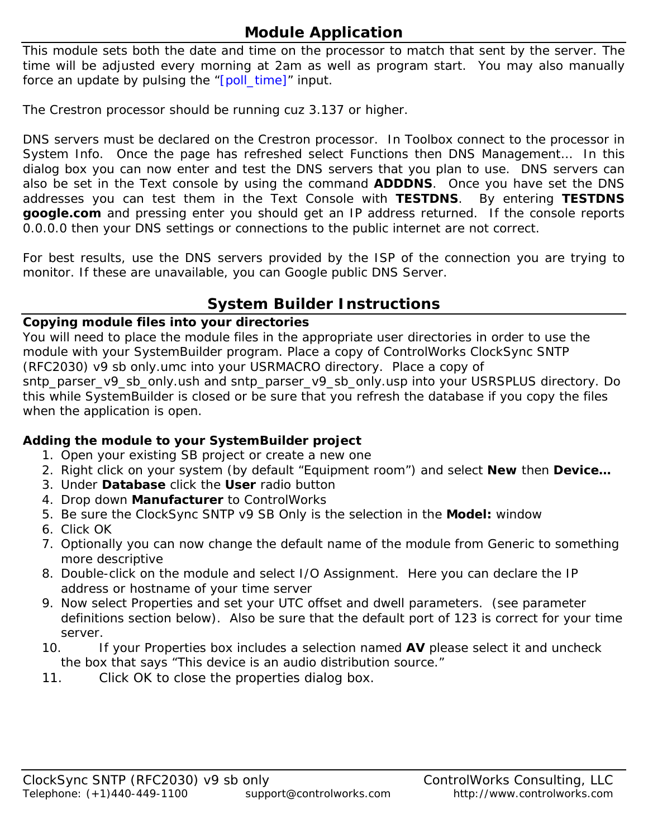# **Module Application**

This module sets both the date and time on the processor to match that sent by the server. The time will be adjusted every morning at 2am as well as program start. You may also manually force an update by pulsing the "[poll\_time]" input.

The Crestron processor should be running cuz 3.137 or higher.

DNS servers must be declared on the Crestron processor. In Toolbox connect to the processor in System Info. Once the page has refreshed select Functions then DNS Management… In this dialog box you can now enter and test the DNS servers that you plan to use. DNS servers can also be set in the Text console by using the command **ADDDNS**. Once you have set the DNS addresses you can test them in the Text Console with **TESTDNS**. By entering **TESTDNS google.com** and pressing enter you should get an IP address returned. If the console reports 0.0.0.0 then your DNS settings or connections to the public internet are not correct.

For best results, use the DNS servers provided by the ISP of the connection you are trying to monitor. If these are unavailable, you can Google public DNS Server.

## **System Builder Instructions**

#### **Copying module files into your directories**

You will need to place the module files in the appropriate user directories in order to use the module with your SystemBuilder program. Place a copy of ControlWorks ClockSync SNTP (RFC2030) v9 sb only.umc into your USRMACRO directory. Place a copy of sntp\_parser\_v9\_sb\_only.ush and sntp\_parser\_v9\_sb\_only.usp into your USRSPLUS directory. Do this while SystemBuilder is closed or be sure that you refresh the database if you copy the files when the application is open.

## **Adding the module to your SystemBuilder project**

- 1. Open your existing SB project or create a new one
- 2. Right click on your system (by default "Equipment room") and select **New** then **Device…**
- 3. Under **Database** click the **User** radio button
- 4. Drop down **Manufacturer** to ControlWorks
- 5. Be sure the ClockSync SNTP v9 SB Only is the selection in the **Model:** window
- 6. Click OK
- 7. Optionally you can now change the default name of the module from Generic to something more descriptive
- 8. Double-click on the module and select I/O Assignment. Here you can declare the IP address or hostname of your time server
- 9. Now select Properties and set your UTC offset and dwell parameters. (see parameter definitions section below). Also be sure that the default port of 123 is correct for your time server.
- 10. If your Properties box includes a selection named **AV** please select it and uncheck the box that says "This device is an audio distribution source."
- 11. Click OK to close the properties dialog box.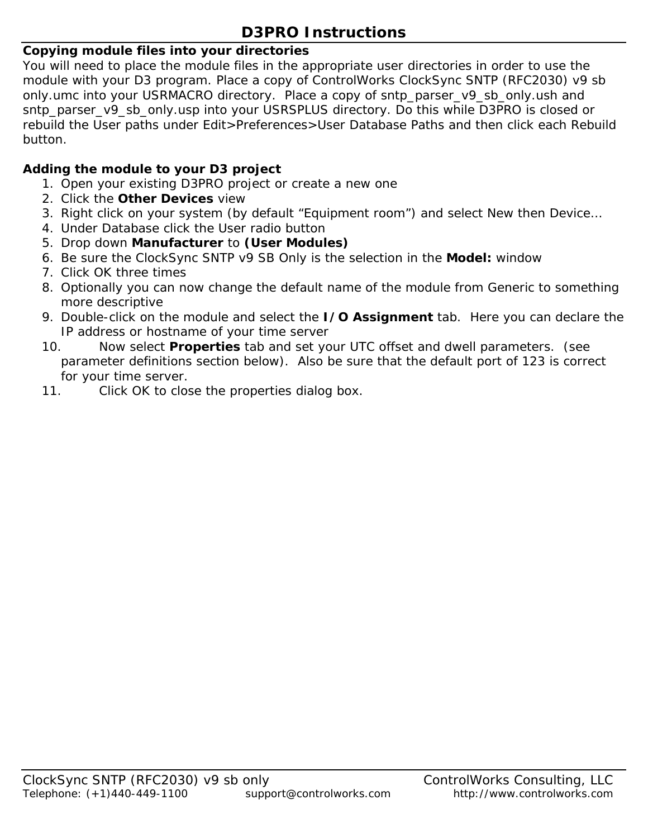# **D3PRO Instructions**

## **Copying module files into your directories**

You will need to place the module files in the appropriate user directories in order to use the module with your D3 program. Place a copy of ControlWorks ClockSync SNTP (RFC2030) v9 sb only.umc into your USRMACRO directory. Place a copy of sntp\_parser\_v9\_sb\_only.ush and sntp\_parser\_v9\_sb\_only.usp into your USRSPLUS directory. Do this while D3PRO is closed or rebuild the User paths under Edit>Preferences>User Database Paths and then click each Rebuild button.

## **Adding the module to your D3 project**

- 1. Open your existing D3PRO project or create a new one
- 2. Click the **Other Devices** view
- 3. Right click on your system (by default "Equipment room") and select New then Device…
- 4. Under Database click the User radio button
- 5. Drop down **Manufacturer** to **(User Modules)**
- 6. Be sure the ClockSync SNTP v9 SB Only is the selection in the **Model:** window
- 7. Click OK three times
- 8. Optionally you can now change the default name of the module from Generic to something more descriptive
- 9. Double-click on the module and select the **I/O Assignment** tab. Here you can declare the IP address or hostname of your time server
- 10. Now select **Properties** tab and set your UTC offset and dwell parameters. (see parameter definitions section below). Also be sure that the default port of 123 is correct for your time server.
- 11. Click OK to close the properties dialog box.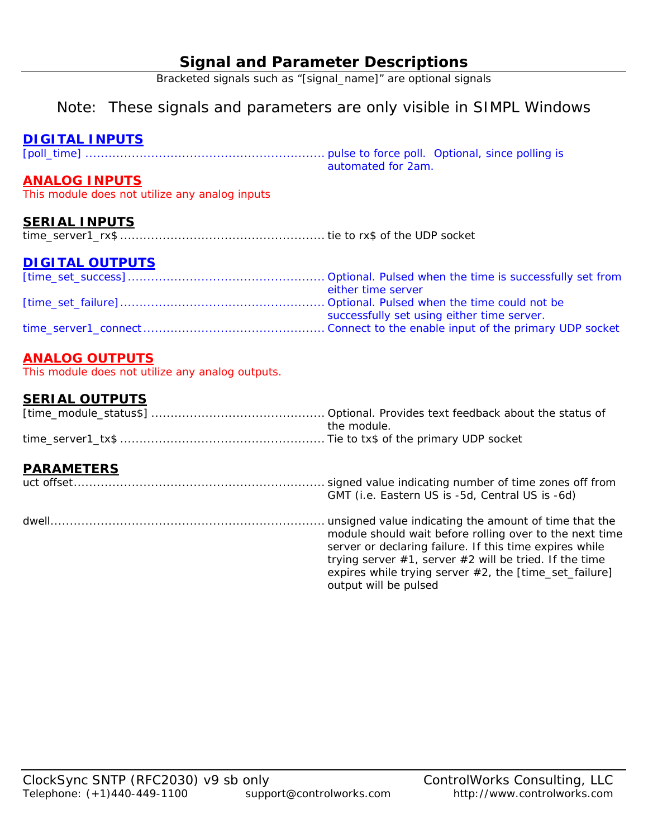## **Signal and Parameter Descriptions**

Bracketed signals such as "[signal\_name]" are optional signals

## Note: These signals and parameters are only visible in SIMPL Windows

## **DIGITAL INPUTS**

[poll\_time] .............................................................. pulse to force poll. Optional, since polling is automated for 2am.

## **ANALOG INPUTS**

This module does not utilize any analog inputs

## **SERIAL INPUTS**

time\_server1\_rx\$ ..................................................... tie to rx\$ of the UDP socket

## **DIGITAL OUTPUTS**

| either time server                         |
|--------------------------------------------|
|                                            |
| successfully set using either time server. |
|                                            |

## **ANALOG OUTPUTS**

This module does not utilize any analog outputs.

## **SERIAL OUTPUTS**

| the module. |
|-------------|
|             |

## **PARAMETERS**

| . <i>.</i> | GMT (i.e. Eastern US is -5d, Central US is -6d)                                                                                                                                                                                                                         |
|------------|-------------------------------------------------------------------------------------------------------------------------------------------------------------------------------------------------------------------------------------------------------------------------|
|            | module should wait before rolling over to the next time<br>server or declaring failure. If this time expires while<br>trying server $#1$ , server $#2$ will be tried. If the time<br>expires while trying server $#2$ , the [time_set_failure]<br>output will be pulsed |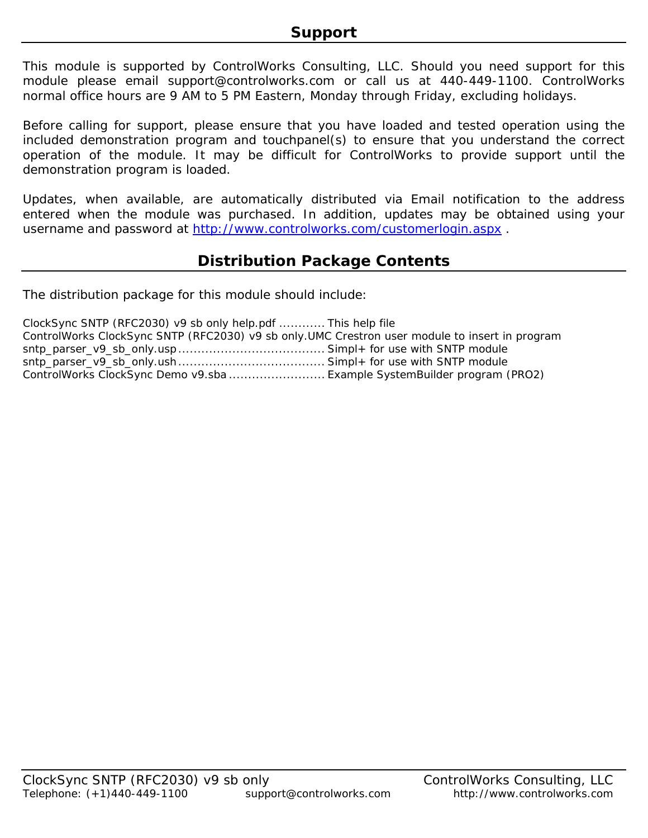This module is supported by ControlWorks Consulting, LLC. Should you need support for this module please email support@controlworks.com or call us at 440-449-1100. ControlWorks normal office hours are 9 AM to 5 PM Eastern, Monday through Friday, excluding holidays.

Before calling for support, please ensure that you have loaded and tested operation using the included demonstration program and touchpanel(s) to ensure that you understand the correct operation of the module. It may be difficult for ControlWorks to provide support until the demonstration program is loaded.

Updates, when available, are automatically distributed via Email notification to the address entered when the module was purchased. In addition, updates may be obtained using your username and password at http://www.controlworks.com/customerlogin.aspx .

## **Distribution Package Contents**

The distribution package for this module should include:

| ClockSync SNTP (RFC2030) v9 sb only help.pdf  This help file                                   |  |
|------------------------------------------------------------------------------------------------|--|
| ControlWorks ClockSync SNTP (RFC2030) v9 sb only.UMC Crestron user module to insert in program |  |
|                                                                                                |  |
|                                                                                                |  |
| ControlWorks ClockSync Demo v9.sba  Example SystemBuilder program (PRO2)                       |  |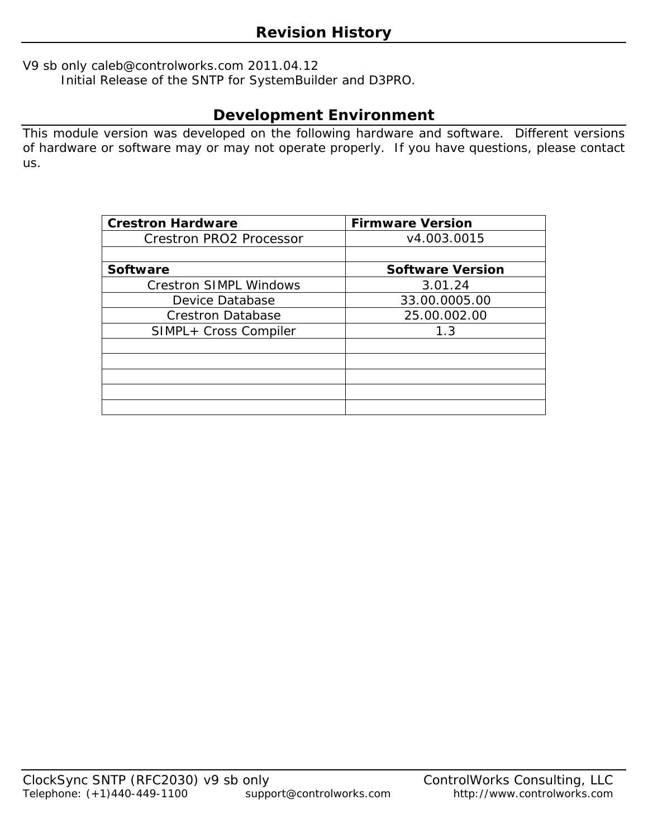V9 sb only caleb@controlworks.com 2011.04.12

Initial Release of the SNTP for SystemBuilder and D3PRO.

# **Development Environment**

This module version was developed on the following hardware and software. Different versions of hardware or software may or may not operate properly. If you have questions, please contact us.

| <b>Crestron Hardware</b>       | <b>Firmware Version</b> |  |
|--------------------------------|-------------------------|--|
| <b>Crestron PRO2 Processor</b> | v4.003.0015             |  |
|                                |                         |  |
| <b>Software</b>                | <b>Software Version</b> |  |
| <b>Crestron SIMPL Windows</b>  | 3.01.24                 |  |
| Device Database                | 33.00.0005.00           |  |
| <b>Crestron Database</b>       | 25.00.002.00            |  |
| SIMPL+ Cross Compiler          | 1.3                     |  |
|                                |                         |  |
|                                |                         |  |
|                                |                         |  |
|                                |                         |  |
|                                |                         |  |